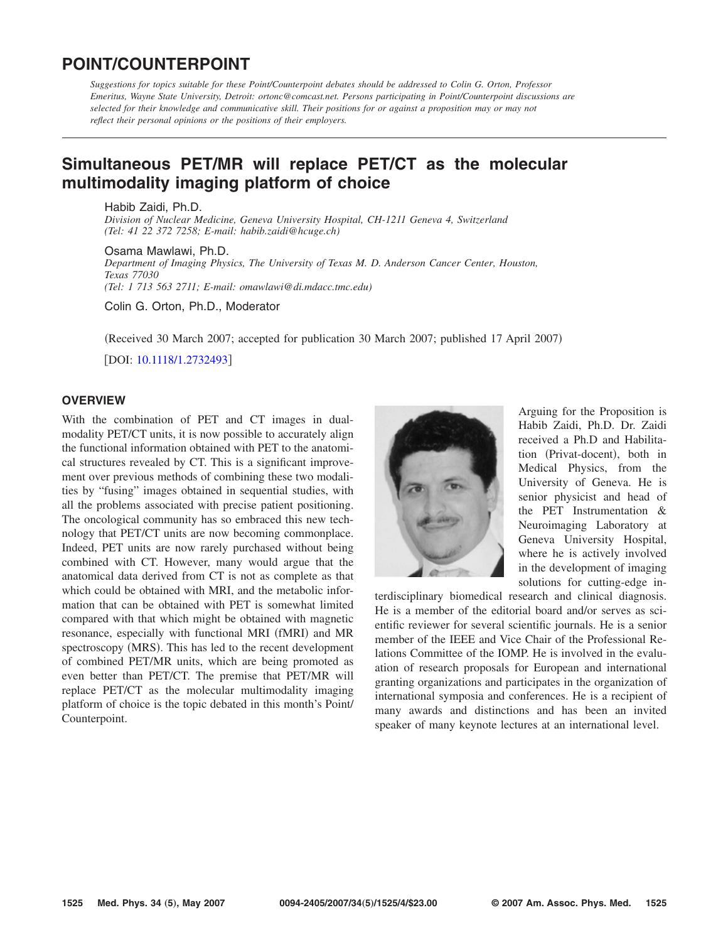# **POINT/COUNTERPOINT**

*Suggestions for topics suitable for these Point/Counterpoint debates should be addressed to Colin G. Orton, Professor Emeritus, Wayne State University, Detroit: ortonc@comcast.net. Persons participating in Point/Counterpoint discussions are selected for their knowledge and communicative skill. Their positions for or against a proposition may or may not reflect their personal opinions or the positions of their employers.*

# **[Simultaneous PET/MR will replace PET/CT as the molecular](http://dx.doi.org/10.1118/1.2732493) [multimodality imaging platform of choice](http://dx.doi.org/10.1118/1.2732493)**

Habib Zaidi, Ph.D. *Division of Nuclear Medicine, Geneva University Hospital, CH-1211 Geneva 4, Switzerland (Tel: 41 22 372 7258; E-mail: habib.zaidi@hcuge.ch)*

Osama Mawlawi, Ph.D. *Department of Imaging Physics, The University of Texas M. D. Anderson Cancer Center, Houston, Texas 77030 (Tel: 1 713 563 2711; E-mail: omawlawi@di.mdacc.tmc.edu)*

Colin G. Orton, Ph.D., Moderator

(Received 30 March 2007; accepted for publication 30 March 2007; published 17 April 2007)

[DOI: [10.1118/1.2732493](http://dx.doi.org/10.1118/1.2732493)]

## **OVERVIEW**

With the combination of PET and CT images in dualmodality PET/CT units, it is now possible to accurately align the functional information obtained with PET to the anatomical structures revealed by CT. This is a significant improvement over previous methods of combining these two modalities by "fusing" images obtained in sequential studies, with all the problems associated with precise patient positioning. The oncological community has so embraced this new technology that PET/CT units are now becoming commonplace. Indeed, PET units are now rarely purchased without being combined with CT. However, many would argue that the anatomical data derived from CT is not as complete as that which could be obtained with MRI, and the metabolic information that can be obtained with PET is somewhat limited compared with that which might be obtained with magnetic resonance, especially with functional MRI (fMRI) and MR spectroscopy (MRS). This has led to the recent development of combined PET/MR units, which are being promoted as even better than PET/CT. The premise that PET/MR will replace PET/CT as the molecular multimodality imaging platform of choice is the topic debated in this month's Point/ Counterpoint.



Arguing for the Proposition is Habib Zaidi, Ph.D. Dr. Zaidi received a Ph.D and Habilitation (Privat-docent), both in Medical Physics, from the University of Geneva. He is senior physicist and head of the PET Instrumentation & Neuroimaging Laboratory at Geneva University Hospital, where he is actively involved in the development of imaging solutions for cutting-edge in-

terdisciplinary biomedical research and clinical diagnosis. He is a member of the editorial board and/or serves as scientific reviewer for several scientific journals. He is a senior member of the IEEE and Vice Chair of the Professional Relations Committee of the IOMP. He is involved in the evaluation of research proposals for European and international granting organizations and participates in the organization of international symposia and conferences. He is a recipient of many awards and distinctions and has been an invited speaker of many keynote lectures at an international level.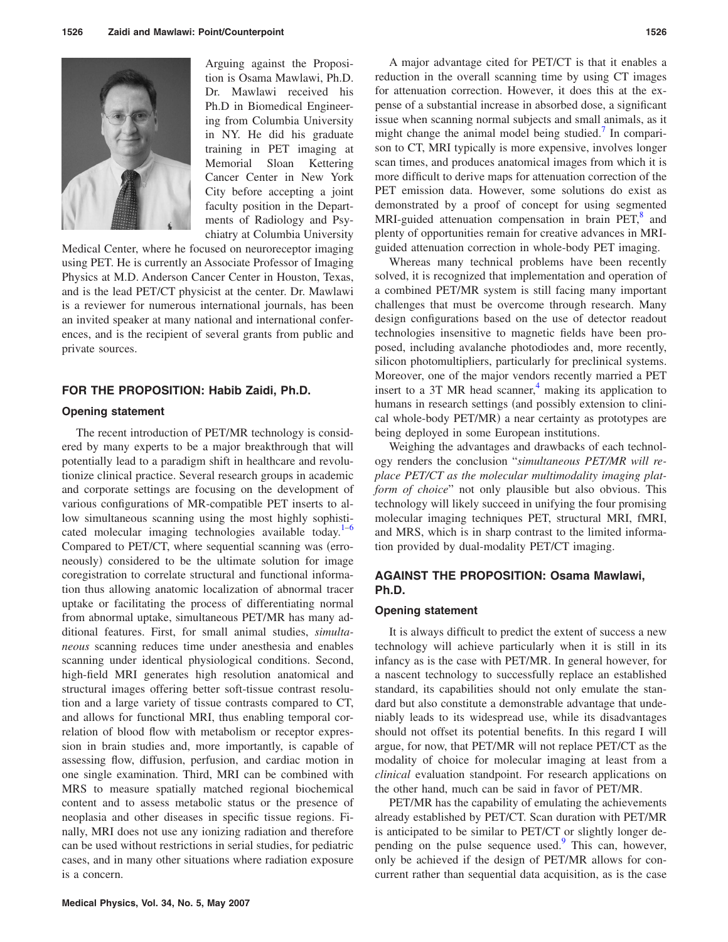

Arguing against the Proposition is Osama Mawlawi, Ph.D. Dr. Mawlawi received his Ph.D in Biomedical Engineering from Columbia University in NY. He did his graduate training in PET imaging at Memorial Sloan Kettering Cancer Center in New York City before accepting a joint faculty position in the Departments of Radiology and Psychiatry at Columbia University

Medical Center, where he focused on neuroreceptor imaging using PET. He is currently an Associate Professor of Imaging Physics at M.D. Anderson Cancer Center in Houston, Texas, and is the lead PET/CT physicist at the center. Dr. Mawlawi is a reviewer for numerous international journals, has been an invited speaker at many national and international conferences, and is the recipient of several grants from public and private sources.

#### **FOR THE PROPOSITION: Habib Zaidi, Ph.D.**

### **Opening statement**

The recent introduction of PET/MR technology is considered by many experts to be a major breakthrough that will potentially lead to a paradigm shift in healthcare and revolutionize clinical practice. Several research groups in academic and corporate settings are focusing on the development of various configurations of MR-compatible PET inserts to allow simultaneous scanning using the most highly sophisticated molecular imaging technologies available today. $1-6$  $1-6$ Compared to PET/CT, where sequential scanning was (erroneously) considered to be the ultimate solution for image coregistration to correlate structural and functional information thus allowing anatomic localization of abnormal tracer uptake or facilitating the process of differentiating normal from abnormal uptake, simultaneous PET/MR has many additional features. First, for small animal studies, *simultaneous* scanning reduces time under anesthesia and enables scanning under identical physiological conditions. Second, high-field MRI generates high resolution anatomical and structural images offering better soft-tissue contrast resolution and a large variety of tissue contrasts compared to CT, and allows for functional MRI, thus enabling temporal correlation of blood flow with metabolism or receptor expression in brain studies and, more importantly, is capable of assessing flow, diffusion, perfusion, and cardiac motion in one single examination. Third, MRI can be combined with MRS to measure spatially matched regional biochemical content and to assess metabolic status or the presence of neoplasia and other diseases in specific tissue regions. Finally, MRI does not use any ionizing radiation and therefore can be used without restrictions in serial studies, for pediatric cases, and in many other situations where radiation exposure is a concern.

A major advantage cited for PET/CT is that it enables a reduction in the overall scanning time by using CT images for attenuation correction. However, it does this at the expense of a substantial increase in absorbed dose, a significant issue when scanning normal subjects and small animals, as it might change the animal model being studied.<sup>7</sup> In comparison to CT, MRI typically is more expensive, involves longer scan times, and produces anatomical images from which it is more difficult to derive maps for attenuation correction of the PET emission data. However, some solutions do exist as demonstrated by a proof of concept for using segmented MRI-guided attenuation compensation in brain  $PET$ <sup>8</sup>, and plenty of opportunities remain for creative advances in MRIguided attenuation correction in whole-body PET imaging.

Whereas many technical problems have been recently solved, it is recognized that implementation and operation of a combined PET/MR system is still facing many important challenges that must be overcome through research. Many design configurations based on the use of detector readout technologies insensitive to magnetic fields have been proposed, including avalanche photodiodes and, more recently, silicon photomultipliers, particularly for preclinical systems. Moreover, one of the major vendors recently married a PET insert to a 3T MR head scanner, $4$  making its application to humans in research settings (and possibly extension to clinical whole-body PET/MR) a near certainty as prototypes are being deployed in some European institutions.

Weighing the advantages and drawbacks of each technology renders the conclusion "*simultaneous PET/MR will replace PET/CT as the molecular multimodality imaging platform of choice*" not only plausible but also obvious. This technology will likely succeed in unifying the four promising molecular imaging techniques PET, structural MRI, fMRI, and MRS, which is in sharp contrast to the limited information provided by dual-modality PET/CT imaging.

## **AGAINST THE PROPOSITION: Osama Mawlawi, Ph.D.**

### **Opening statement**

It is always difficult to predict the extent of success a new technology will achieve particularly when it is still in its infancy as is the case with PET/MR. In general however, for a nascent technology to successfully replace an established standard, its capabilities should not only emulate the standard but also constitute a demonstrable advantage that undeniably leads to its widespread use, while its disadvantages should not offset its potential benefits. In this regard I will argue, for now, that PET/MR will not replace PET/CT as the modality of choice for molecular imaging at least from a *clinical* evaluation standpoint. For research applications on the other hand, much can be said in favor of PET/MR.

PET/MR has the capability of emulating the achievements already established by PET/CT. Scan duration with PET/MR is anticipated to be similar to PET/CT or slightly longer depending on the pulse sequence used. $9$  This can, however, only be achieved if the design of PET/MR allows for concurrent rather than sequential data acquisition, as is the case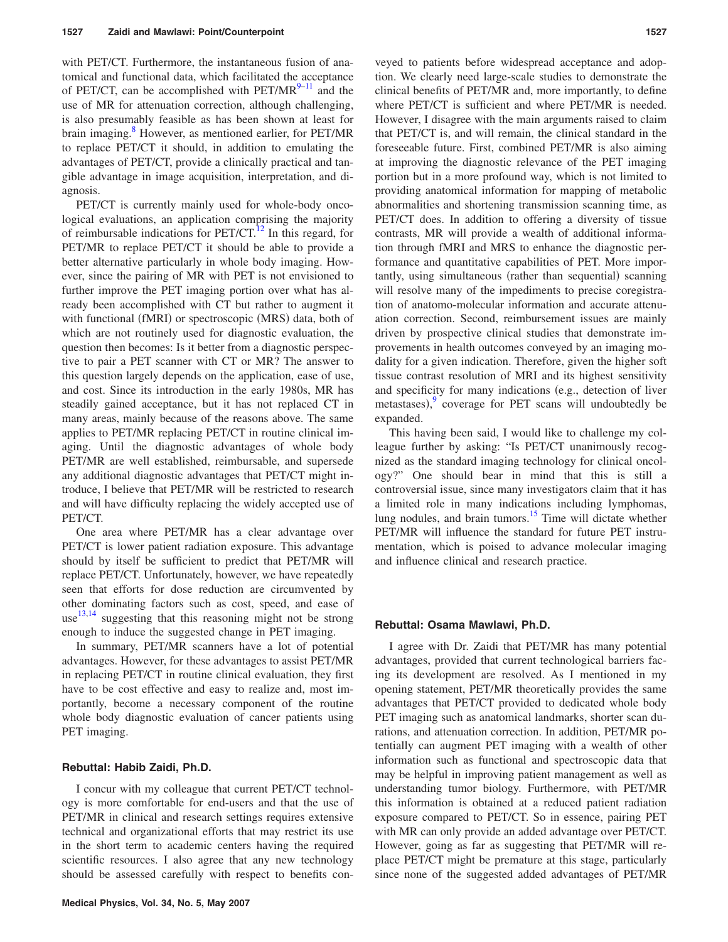with PET/CT. Furthermore, the instantaneous fusion of anatomical and functional data, which facilitated the acceptance of PET/CT, can be accomplished with  $PET/MR^{9-11}$  and the use of MR for attenuation correction, although challenging, is also presumably feasible as has been shown at least for brain imaging.<sup>8</sup> However, as mentioned earlier, for PET/MR to replace PET/CT it should, in addition to emulating the advantages of PET/CT, provide a clinically practical and tangible advantage in image acquisition, interpretation, and diagnosis.

PET/CT is currently mainly used for whole-body oncological evaluations, an application comprising the majority of reimbursable indications for  $PET/CT$ .<sup>12</sup> In this regard, for PET/MR to replace PET/CT it should be able to provide a better alternative particularly in whole body imaging. However, since the pairing of MR with PET is not envisioned to further improve the PET imaging portion over what has already been accomplished with CT but rather to augment it with functional (fMRI) or spectroscopic (MRS) data, both of which are not routinely used for diagnostic evaluation, the question then becomes: Is it better from a diagnostic perspective to pair a PET scanner with CT or MR? The answer to this question largely depends on the application, ease of use, and cost. Since its introduction in the early 1980s, MR has steadily gained acceptance, but it has not replaced CT in many areas, mainly because of the reasons above. The same applies to PET/MR replacing PET/CT in routine clinical imaging. Until the diagnostic advantages of whole body PET/MR are well established, reimbursable, and supersede any additional diagnostic advantages that PET/CT might introduce, I believe that PET/MR will be restricted to research and will have difficulty replacing the widely accepted use of PET/CT.

One area where PET/MR has a clear advantage over PET/CT is lower patient radiation exposure. This advantage should by itself be sufficient to predict that PET/MR will replace PET/CT. Unfortunately, however, we have repeatedly seen that efforts for dose reduction are circumvented by other dominating factors such as cost, speed, and ease of use $^{13,14}$  $^{13,14}$  $^{13,14}$  $^{13,14}$  suggesting that this reasoning might not be strong enough to induce the suggested change in PET imaging.

In summary, PET/MR scanners have a lot of potential advantages. However, for these advantages to assist PET/MR in replacing PET/CT in routine clinical evaluation, they first have to be cost effective and easy to realize and, most importantly, become a necessary component of the routine whole body diagnostic evaluation of cancer patients using PET imaging.

#### **Rebuttal: Habib Zaidi, Ph.D.**

I concur with my colleague that current PET/CT technology is more comfortable for end-users and that the use of PET/MR in clinical and research settings requires extensive technical and organizational efforts that may restrict its use in the short term to academic centers having the required scientific resources. I also agree that any new technology should be assessed carefully with respect to benefits conveyed to patients before widespread acceptance and adoption. We clearly need large-scale studies to demonstrate the clinical benefits of PET/MR and, more importantly, to define where PET/CT is sufficient and where PET/MR is needed. However, I disagree with the main arguments raised to claim that PET/CT is, and will remain, the clinical standard in the foreseeable future. First, combined PET/MR is also aiming at improving the diagnostic relevance of the PET imaging portion but in a more profound way, which is not limited to providing anatomical information for mapping of metabolic abnormalities and shortening transmission scanning time, as PET/CT does. In addition to offering a diversity of tissue contrasts, MR will provide a wealth of additional information through fMRI and MRS to enhance the diagnostic performance and quantitative capabilities of PET. More importantly, using simultaneous (rather than sequential) scanning will resolve many of the impediments to precise coregistration of anatomo-molecular information and accurate attenuation correction. Second, reimbursement issues are mainly driven by prospective clinical studies that demonstrate improvements in health outcomes conveyed by an imaging modality for a given indication. Therefore, given the higher soft tissue contrast resolution of MRI and its highest sensitivity and specificity for many indications (e.g., detection of liver metastases), $\frac{9}{2}$  $\frac{9}{2}$  $\frac{9}{2}$  coverage for PET scans will undoubtedly be expanded.

This having been said, I would like to challenge my colleague further by asking: "Is PET/CT unanimously recognized as the standard imaging technology for clinical oncology?" One should bear in mind that this is still a controversial issue, since many investigators claim that it has a limited role in many indications including lymphomas, lung nodules, and brain tumors[.15](#page-3-10) Time will dictate whether PET/MR will influence the standard for future PET instrumentation, which is poised to advance molecular imaging and influence clinical and research practice.

#### **Rebuttal: Osama Mawlawi, Ph.D.**

I agree with Dr. Zaidi that PET/MR has many potential advantages, provided that current technological barriers facing its development are resolved. As I mentioned in my opening statement, PET/MR theoretically provides the same advantages that PET/CT provided to dedicated whole body PET imaging such as anatomical landmarks, shorter scan durations, and attenuation correction. In addition, PET/MR potentially can augment PET imaging with a wealth of other information such as functional and spectroscopic data that may be helpful in improving patient management as well as understanding tumor biology. Furthermore, with PET/MR this information is obtained at a reduced patient radiation exposure compared to PET/CT. So in essence, pairing PET with MR can only provide an added advantage over PET/CT. However, going as far as suggesting that PET/MR will replace PET/CT might be premature at this stage, particularly since none of the suggested added advantages of PET/MR